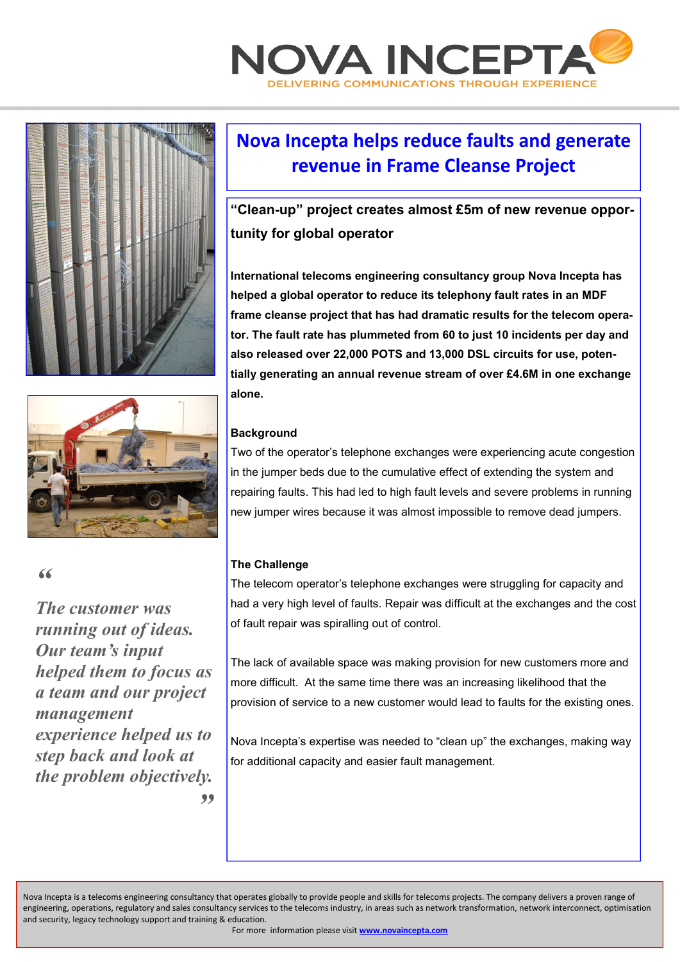





 $\alpha$ 

*The customer was running out of ideas. Our team's input helped them to focus as a team and our project management experience helped us to step back and look at the problem objectively. "* 

## **Nova Incepta helps reduce faults and generate revenue in Frame Cleanse Project**

**"Clean-up" project creates almost £5m of new revenue opportunity for global operator** 

**International telecoms engineering consultancy group Nova Incepta has helped a global operator to reduce its telephony fault rates in an MDF frame cleanse project that has had dramatic results for the telecom operator. The fault rate has plummeted from 60 to just 10 incidents per day and also released over 22,000 POTS and 13,000 DSL circuits for use, potentially generating an annual revenue stream of over £4.6M in one exchange alone.** 

### **Background**

Two of the operator's telephone exchanges were experiencing acute congestion in the jumper beds due to the cumulative effect of extending the system and repairing faults. This had led to high fault levels and severe problems in running new jumper wires because it was almost impossible to remove dead jumpers.

### **The Challenge**

The telecom operator's telephone exchanges were struggling for capacity and had a very high level of faults. Repair was difficult at the exchanges and the cost of fault repair was spiralling out of control.

The lack of available space was making provision for new customers more and more difficult. At the same time there was an increasing likelihood that the provision of service to a new customer would lead to faults for the existing ones.

Nova Incepta's expertise was needed to "clean up" the exchanges, making way for additional capacity and easier fault management.

Nova Incepta is a telecoms engineering consultancy that operates globally to provide people and skills for telecoms projects. The company delivers a proven range of engineering, operations, regulatory and sales consultancy services to the telecoms industry, in areas such as network transformation, network interconnect, optimisation and security, legacy technology support and training & education.